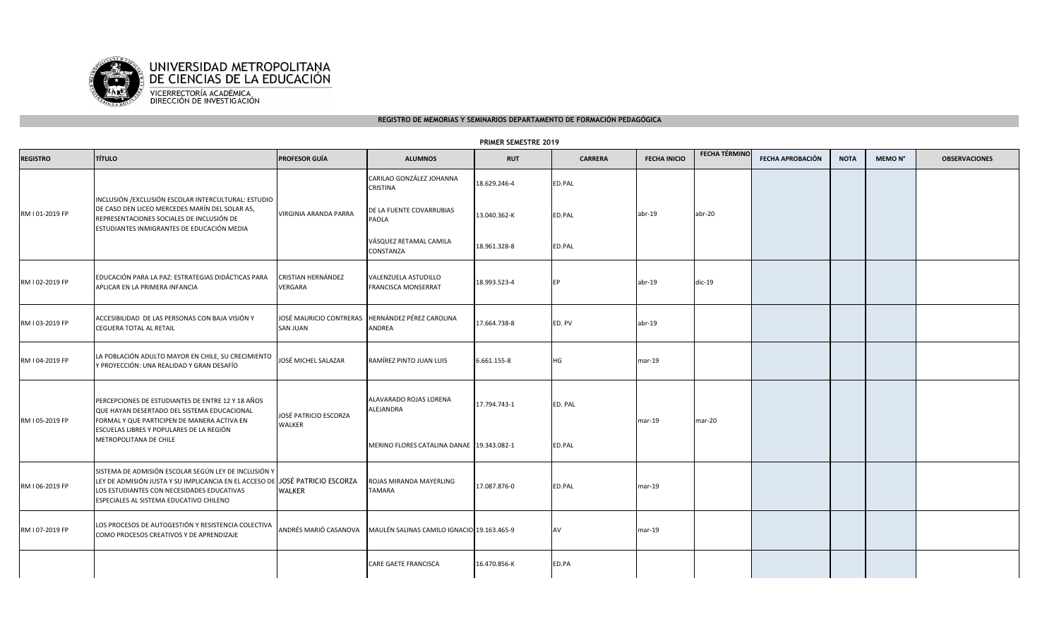

## **REGISTRO DE MEMORIAS Y SEMINARIOS DEPARTAMENTO DE FORMACIÓN PEDAGÓGICA**

## **PRIMER SEMESTRE 2019**

| <b>REGISTRO</b> | <b>TÍTULO</b>                                                                                                                                                                                                         | PROFESOR GUÍA                   | <b>ALUMNOS</b>                                                    | <b>RUT</b>   | <b>CARRERA</b> | <b>FECHA INICIO</b> | <b>FECHA TÉRMINO</b> | FECHA APROBACIÓN | <b>NOTA</b> | MEMO N° | <b>OBSERVACIONES</b> |
|-----------------|-----------------------------------------------------------------------------------------------------------------------------------------------------------------------------------------------------------------------|---------------------------------|-------------------------------------------------------------------|--------------|----------------|---------------------|----------------------|------------------|-------------|---------|----------------------|
|                 | INCLUSIÓN / EXCLUSIÓN ESCOLAR INTERCULTURAL: ESTUDIO<br>DE CASO DEN LICEO MERCEDES MARÍN DEL SOLAR A5,<br>REPRESENTACIONES SOCIALES DE INCLUSIÓN DE<br>ESTUDIANTES INMIGRANTES DE EDUCACIÓN MEDIA                     | VIRGINIA ARANDA PARRA           | CARILAO GONZÁLEZ JOHANNA<br>CRISTINA                              | 18.629.246-4 | ED.PAL         |                     |                      |                  |             |         |                      |
| RM I 01-2019 FP |                                                                                                                                                                                                                       |                                 | DE LA FUENTE COVARRUBIAS<br><b>PAOLA</b>                          | 13.040.362-K | ED.PAL         | $abr-19$            | abr-20               |                  |             |         |                      |
|                 |                                                                                                                                                                                                                       |                                 | VÁSQUEZ RETAMAL CAMILA<br>CONSTANZA                               | 18.961.328-8 | ED.PAL         |                     |                      |                  |             |         |                      |
| RM I 02-2019 FP | EDUCACIÓN PARA LA PAZ: ESTRATEGIAS DIDÁCTICAS PARA<br>APLICAR EN LA PRIMERA INFANCIA                                                                                                                                  | CRISTIAN HERNÁNDEZ<br>VERGARA   | VALENZUELA ASTUDILLO<br>FRANCISCA MONSERRAT                       | 18.993.523-4 | EP             | $abr-19$            | $dic-19$             |                  |             |         |                      |
| RM I 03-2019 FP | ACCESIBILIDAD DE LAS PERSONAS CON BAJA VISIÓN Y<br><b>CEGUERA TOTAL AL RETAIL</b>                                                                                                                                     | SAN JUAN                        | JOSÉ MAURICIO CONTRERAS HERNÁNDEZ PÉREZ CAROLINA<br><b>ANDREA</b> | 17.664.738-8 | ED. PV         | $abr-19$            |                      |                  |             |         |                      |
| RM I 04-2019 FP | LA POBLACIÓN ADULTO MAYOR EN CHILE, SU CRECIMIENTO<br>Y PROYECCIÓN: UNA REALIDAD Y GRAN DESAFÍO                                                                                                                       | JOSÉ MICHEL SALAZAR             | RAMÍREZ PINTO JUAN LUIS                                           | 6.661.155-8  | HG             | mar-19              |                      |                  |             |         |                      |
| RM I 05-2019 FP | PERCEPCIONES DE ESTUDIANTES DE ENTRE 12 Y 18 AÑOS<br>QUE HAYAN DESERTADO DEL SISTEMA EDUCACIONAL<br>FORMAL Y QUE PARTICIPEN DE MANERA ACTIVA EN<br>ESCUELAS LIBRES Y POPULARES DE LA REGIÓN<br>METROPOLITANA DE CHILE | JOSÉ PATRICIO ESCORZA<br>WALKER | ALAVARADO ROJAS LORENA<br>ALEJANDRA                               | 17.794.743-1 | ED. PAL        | $mar-19$            | mar-20               |                  |             |         |                      |
|                 |                                                                                                                                                                                                                       |                                 | MERINO FLORES CATALINA DANAE 19.343.082-1                         |              | ED.PAL         |                     |                      |                  |             |         |                      |
| RM I 06-2019 FP | SISTEMA DE ADMISIÓN ESCOLAR SEGÚN LEY DE INCLUSIÓN Y<br>LEY DE ADMISIÓN JUSTA Y SU IMPLICANCIA EN EL ACCESO DE<br>LOS ESTUDIANTES CON NECESIDADES EDUCATIVAS<br>ESPECIALES AL SISTEMA EDUCATIVO CHILENO               | JOSÉ PATRICIO ESCORZA<br>WALKER | ROJAS MIRANDA MAYERLING<br><b>TAMARA</b>                          | 17.087.876-0 | ED.PAL         | $mar-19$            |                      |                  |             |         |                      |
| RM I 07-2019 FP | LOS PROCESOS DE AUTOGESTIÓN Y RESISTENCIA COLECTIVA<br>COMO PROCESOS CREATIVOS Y DE APRENDIZAJE                                                                                                                       | ANDRÉS MARIÓ CASANOVA           | MAULÉN SALINAS CAMILO IGNACIO 19.163.465-9                        |              | AV             | $mar-19$            |                      |                  |             |         |                      |
|                 |                                                                                                                                                                                                                       |                                 | CARE GAETE FRANCISCA                                              | 16.470.856-K | ED.PA          |                     |                      |                  |             |         |                      |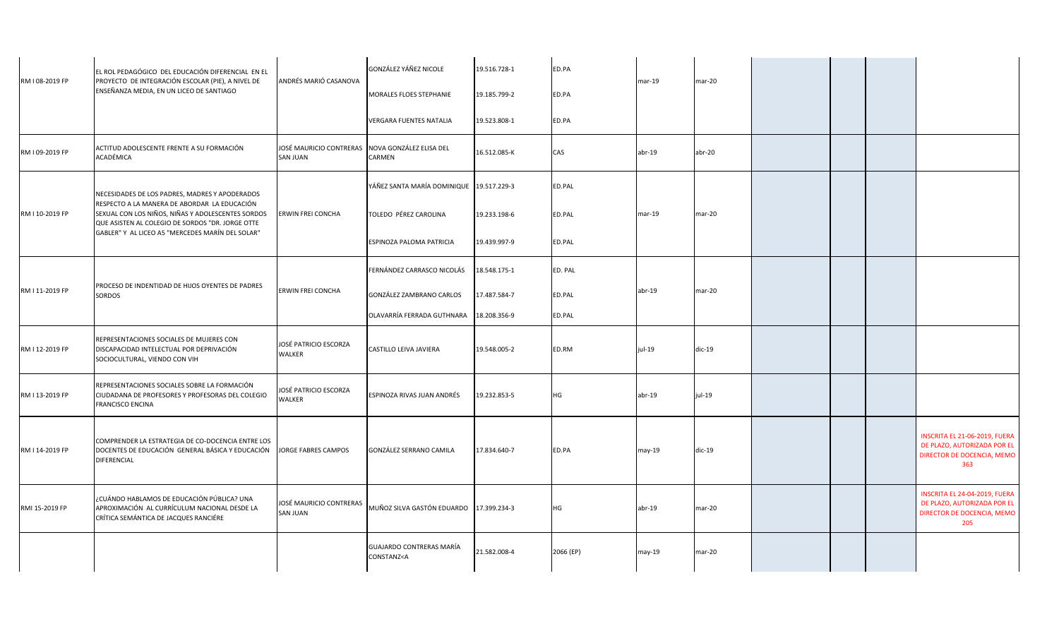| RM I 08-2019 FP | EL ROL PEDAGÓGICO DEL EDUCACIÓN DIFERENCIAL EN EL<br>PROYECTO DE INTEGRACIÓN ESCOLAR (PIE), A NIVEL DE                                                | ANDRÉS MARIÓ CASANOVA                                              | GONZÁLEZ YÁÑEZ NICOLE                                                                                                                              | 19.516.728-1 | ED.PA     | mar-19   | $mar-20$ |  |                                                                                                   |
|-----------------|-------------------------------------------------------------------------------------------------------------------------------------------------------|--------------------------------------------------------------------|----------------------------------------------------------------------------------------------------------------------------------------------------|--------------|-----------|----------|----------|--|---------------------------------------------------------------------------------------------------|
|                 | ENSEÑANZA MEDIA, EN UN LICEO DE SANTIAGO                                                                                                              |                                                                    | MORALES FLOES STEPHANIE                                                                                                                            | 19.185.799-2 | ED.PA     |          |          |  |                                                                                                   |
|                 |                                                                                                                                                       |                                                                    | <b>VERGARA FUENTES NATALIA</b>                                                                                                                     | 19.523.808-1 | ED.PA     |          |          |  |                                                                                                   |
| RM I 09-2019 FP | ACTITUD ADOLESCENTE FRENTE A SU FORMACIÓN<br>ACADÉMICA                                                                                                | JOSÉ MAURICIO CONTRERAS NOVA GONZÁLEZ ELISA DEL<br><b>SAN JUAN</b> | CARMEN                                                                                                                                             | 16.512.085-K | CAS       | $abr-19$ | $abr-20$ |  |                                                                                                   |
|                 | NECESIDADES DE LOS PADRES, MADRES Y APODERADOS                                                                                                        |                                                                    | YÁÑEZ SANTA MARÍA DOMINIQUE 19.517.229-3                                                                                                           |              | ED.PAL    |          |          |  |                                                                                                   |
| RM I 10-2019 FP | RESPECTO A LA MANERA DE ABORDAR LA EDUCACIÓN<br>SEXUAL CON LOS NIÑOS, NIÑAS Y ADOLESCENTES SORDOS<br>QUE ASISTEN AL COLEGIO DE SORDOS "DR. JORGE OTTE | <b>ERWIN FREI CONCHA</b>                                           | TOLEDO PÉREZ CAROLINA                                                                                                                              | 19.233.198-6 | ED.PAL    | mar-19   | $mar-20$ |  |                                                                                                   |
|                 | GABLER" Y AL LICEO A5 "MERCEDES MARÍN DEL SOLAR"<br>PROCESO DE INDENTIDAD DE HIJOS OYENTES DE PADRES<br><b>SORDOS</b>                                 |                                                                    | ESPINOZA PALOMA PATRICIA                                                                                                                           | 19.439.997-9 | ED.PAL    |          |          |  |                                                                                                   |
|                 |                                                                                                                                                       |                                                                    | FERNÁNDEZ CARRASCO NICOLÁS                                                                                                                         | 18.548.175-1 | ED. PAL   |          |          |  |                                                                                                   |
| RM I 11-2019 FP |                                                                                                                                                       | ERWIN FREI CONCHA                                                  | GONZÁLEZ ZAMBRANO CARLOS                                                                                                                           | 17.487.584-7 | ED.PAL    | abr-19   | $mar-20$ |  |                                                                                                   |
|                 |                                                                                                                                                       |                                                                    | OLAVARRÍA FERRADA GUTHNARA                                                                                                                         | 18.208.356-9 | ED.PAL    |          |          |  |                                                                                                   |
| RM I 12-2019 FP | REPRESENTACIONES SOCIALES DE MUJERES CON<br>DISCAPACIDAD INTELECTUAL POR DEPRIVACIÓN<br>SOCIOCULTURAL, VIENDO CON VIH                                 | JOSÉ PATRICIO ESCORZA<br>WALKER                                    | CASTILLO LEIVA JAVIERA                                                                                                                             | 19.548.005-2 | ED.RM     | jul-19   | $dic-19$ |  |                                                                                                   |
| RM I 13-2019 FP | REPRESENTACIONES SOCIALES SOBRE LA FORMACIÓN<br>CIUDADANA DE PROFESORES Y PROFESORAS DEL COLEGIO<br><b>FRANCISCO ENCINA</b>                           | IOSÉ PATRICIO ESCORZA<br>WALKER                                    | ESPINOZA RIVAS JUAN ANDRÉS                                                                                                                         | 19.232.853-5 | HG        | $abr-19$ | jul-19   |  |                                                                                                   |
| RM I 14-2019 FP | COMPRENDER LA ESTRATEGIA DE CO-DOCENCIA ENTRE LOS<br>DOCENTES DE EDUCACIÓN GENERAL BÁSICA Y EDUCACIÓN<br>DIFERENCIAL                                  | <b>JORGE FABRES CAMPOS</b>                                         | <b>GONZÁLEZ SERRANO CAMILA</b>                                                                                                                     | 17.834.640-7 | ED.PA     | may-19   | $dic-19$ |  | INSCRITA EL 21-06-2019, FUERA<br>DE PLAZO, AUTORIZADA POR EL<br>DIRECTOR DE DOCENCIA, MEMO<br>363 |
| RMI 15-2019 FP  | ¿CUÁNDO HABLAMOS DE EDUCACIÓN PÚBLICA? UNA<br>APROXIMACIÓN AL CURRÍCULUM NACIONAL DESDE LA<br>CRÍTICA SEMÁNTICA DE JACQUES RANCIÉRE                   | JOSÉ MAURICIO CONTRERAS<br><b>SAN JUAN</b>                         | MUÑOZ SILVA GASTÓN EDUARDO 17.399.234-3                                                                                                            |              | HG        | $abr-19$ | $mar-20$ |  | INSCRITA EL 24-04-2019, FUERA<br>DE PLAZO, AUTORIZADA POR EL<br>DIRECTOR DE DOCENCIA, MEMO<br>205 |
|                 |                                                                                                                                                       |                                                                    | <b>GUAJARDO CONTRERAS MARÍA</b><br>CONSTANZ <a< td=""><td>21.582.008-4</td><td>2066 (EP)</td><td>may-19</td><td>mar-20</td><td></td><td></td></a<> | 21.582.008-4 | 2066 (EP) | may-19   | mar-20   |  |                                                                                                   |